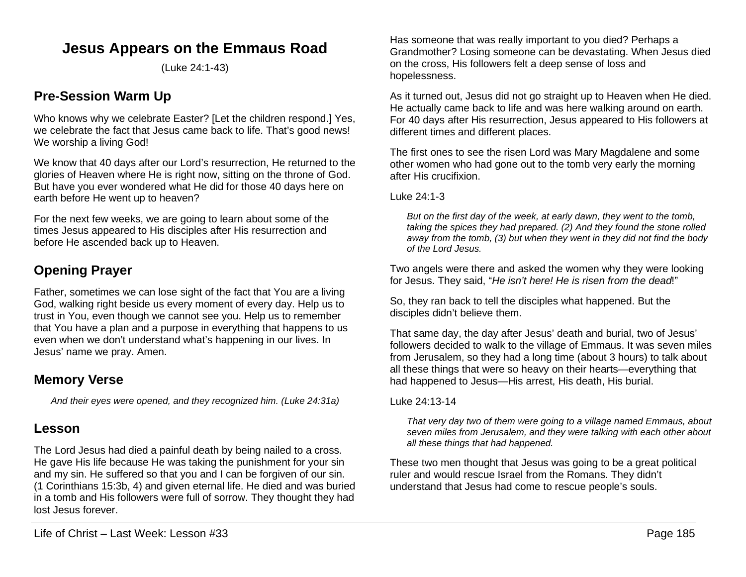# **Jesus Appears on the Emmaus Road**

(Luke 24:1-43)

# **Pre-Session Warm Up**

Who knows why we celebrate Easter? [Let the children respond.] Yes, we celebrate the fact that Jesus came back to life. That's good news! We worship a living God!

We know that 40 days after our Lord's resurrection, He returned to the glories of Heaven where He is right now, sitting on the throne of God. But have you ever wondered what He did for those 40 days here on earth before He went up to heaven?

For the next few weeks, we are going to learn about some of the times Jesus appeared to His disciples after His resurrection and before He ascended back up to Heaven.

# **Opening Prayer**

Father, sometimes we can lose sight of the fact that You are a living God, walking right beside us every moment of every day. Help us to trust in You, even though we cannot see you. Help us to remember that You have a plan and a purpose in everything that happens to us even when we don't understand what's happening in our lives. In Jesus' name we pray. Amen.

## **Memory Verse**

*And their eyes were opened, and they recognized him. (Luke 24:31a)*

## **Lesson**

The Lord Jesus had died a painful death by being nailed to a cross. He gave His life because He was taking the punishment for your sin and my sin. He suffered so that you and I can be forgiven of our sin. (1 Corinthians 15:3b, 4) and given eternal life. He died and was buried in a tomb and His followers were full of sorrow. They thought they had lost Jesus forever.

Has someone that was really important to you died? Perhaps a Grandmother? Losing someone can be devastating. When Jesus died on the cross, His followers felt a deep sense of loss and hopelessness.

As it turned out, Jesus did not go straight up to Heaven when He died. He actually came back to life and was here walking around on earth. For 40 days after His resurrection, Jesus appeared to His followers at different times and different places.

The first ones to see the risen Lord was Mary Magdalene and some other women who had gone out to the tomb very early the morning after His crucifixion.

Luke 24:1-3

*But on the first day of the week, at early dawn, they went to the tomb, taking the spices they had prepared. (2) And they found the stone rolled away from the tomb, (3) but when they went in they did not find the body of the Lord Jesus.*

Two angels were there and asked the women why they were looking for Jesus. They said, "*He isn't here! He is risen from the dead*!"

So, they ran back to tell the disciples what happened. But the disciples didn't believe them.

That same day, the day after Jesus' death and burial, two of Jesus' followers decided to walk to the village of Emmaus. It was seven miles from Jerusalem, so they had a long time (about 3 hours) to talk about all these things that were so heavy on their hearts—everything that had happened to Jesus—His arrest, His death, His burial.

Luke 24:13-14

*That very day two of them were going to a village named Emmaus, about seven miles from Jerusalem, and they were talking with each other about all these things that had happened.*

These two men thought that Jesus was going to be a great political ruler and would rescue Israel from the Romans. They didn't understand that Jesus had come to rescue people's souls.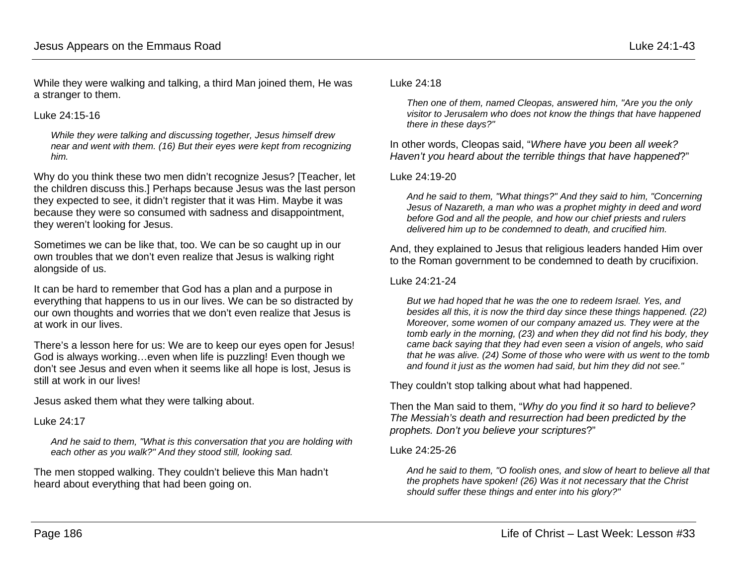While they were walking and talking, a third Man joined them, He was a stranger to them.

#### Luke 24:15-16

*While they were talking and discussing together, Jesus himself drew near and went with them. (16) But their eyes were kept from recognizing him.*

Why do you think these two men didn't recognize Jesus? [Teacher, let the children discuss this.] Perhaps because Jesus was the last person they expected to see, it didn't register that it was Him. Maybe it was because they were so consumed with sadness and disappointment, they weren't looking for Jesus.

Sometimes we can be like that, too. We can be so caught up in our own troubles that we don't even realize that Jesus is walking right alongside of us.

It can be hard to remember that God has a plan and a purpose in everything that happens to us in our lives. We can be so distracted by our own thoughts and worries that we don't even realize that Jesus is at work in our lives.

There's a lesson here for us: We are to keep our eyes open for Jesus! God is always working…even when life is puzzling! Even though we don't see Jesus and even when it seems like all hope is lost, Jesus is still at work in our lives!

Jesus asked them what they were talking about.

#### Luke 24:17

*And he said to them, "What is this conversation that you are holding with each other as you walk?" And they stood still, looking sad.*

The men stopped walking. They couldn't believe this Man hadn't heard about everything that had been going on.

#### Luke 24:18

*Then one of them, named Cleopas, answered him, "Are you the only visitor to Jerusalem who does not know the things that have happened there in these days?"*

In other words, Cleopas said, "*Where have you been all week? Haven't you heard about the terrible things that have happened*?"

#### Luke 24:19-20

*And he said to them, "What things?" And they said to him, "Concerning Jesus of Nazareth, a man who was a prophet mighty in deed and word before God and all the people, and how our chief priests and rulers delivered him up to be condemned to death, and crucified him.*

And, they explained to Jesus that religious leaders handed Him over to the Roman government to be condemned to death by crucifixion.

#### Luke 24:21-24

*But we had hoped that he was the one to redeem Israel. Yes, and besides all this, it is now the third day since these things happened. (22) Moreover, some women of our company amazed us. They were at the tomb early in the morning, (23) and when they did not find his body, they came back saying that they had even seen a vision of angels, who said that he was alive. (24) Some of those who were with us went to the tomb and found it just as the women had said, but him they did not see."*

They couldn't stop talking about what had happened.

Then the Man said to them, "*Why do you find it so hard to believe? The Messiah's death and resurrection had been predicted by the prophets. Don't you believe your scriptures*?"

### Luke 24:25-26

*And he said to them, "O foolish ones, and slow of heart to believe all that the prophets have spoken! (26) Was it not necessary that the Christ should suffer these things and enter into his glory?"*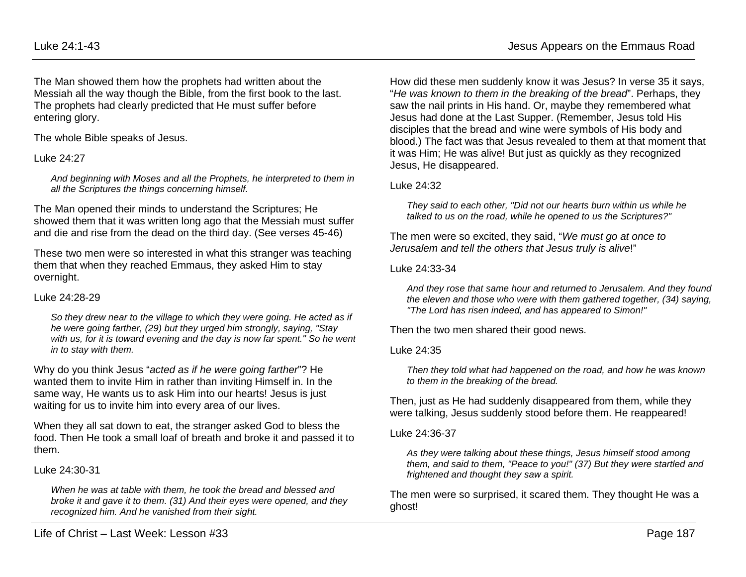The Man showed them how the prophets had written about the Messiah all the way though the Bible, from the first book to the last. The prophets had clearly predicted that He must suffer before entering glory.

The whole Bible speaks of Jesus.

## Luke 24:27

*And beginning with Moses and all the Prophets, he interpreted to them in all the Scriptures the things concerning himself.*

The Man opened their minds to understand the Scriptures; He showed them that it was written long ago that the Messiah must suffer and die and rise from the dead on the third day. (See verses 45-46)

These two men were so interested in what this stranger was teaching them that when they reached Emmaus, they asked Him to stay overnight.

#### Luke 24:28-29

*So they drew near to the village to which they were going. He acted as if he were going farther, (29) but they urged him strongly, saying, "Stay*  with us, for it is toward evening and the day is now far spent." So he went *in to stay with them.*

Why do you think Jesus "*acted as if he were going farther*"? He wanted them to invite Him in rather than inviting Himself in. In the same way, He wants us to ask Him into our hearts! Jesus is just waiting for us to invite him into every area of our lives.

When they all sat down to eat, the stranger asked God to bless the food. Then He took a small loaf of breath and broke it and passed it to them.

#### Luke 24:30-31

*When he was at table with them, he took the bread and blessed and broke it and gave it to them. (31) And their eyes were opened, and they recognized him. And he vanished from their sight.*

How did these men suddenly know it was Jesus? In verse 35 it says, "*He was known to them in the breaking of the bread*". Perhaps, they saw the nail prints in His hand. Or, maybe they remembered what Jesus had done at the Last Supper. (Remember, Jesus told His disciples that the bread and wine were symbols of His body and blood.) The fact was that Jesus revealed to them at that moment that it was Him; He was alive! But just as quickly as they recognized Jesus, He disappeared.

## Luke 24:32

*They said to each other, "Did not our hearts burn within us while he talked to us on the road, while he opened to us the Scriptures?"*

The men were so excited, they said, "*We must go at once to Jerusalem and tell the others that Jesus truly is alive*!"

### Luke 24:33-34

*And they rose that same hour and returned to Jerusalem. And they found the eleven and those who were with them gathered together, (34) saying, "The Lord has risen indeed, and has appeared to Simon!"*

Then the two men shared their good news.

### Luke 24:35

*Then they told what had happened on the road, and how he was known to them in the breaking of the bread.*

Then, just as He had suddenly disappeared from them, while they were talking, Jesus suddenly stood before them. He reappeared!

### Luke 24:36-37

*As they were talking about these things, Jesus himself stood among them, and said to them, "Peace to you!" (37) But they were startled and frightened and thought they saw a spirit.*

The men were so surprised, it scared them. They thought He was a ghost!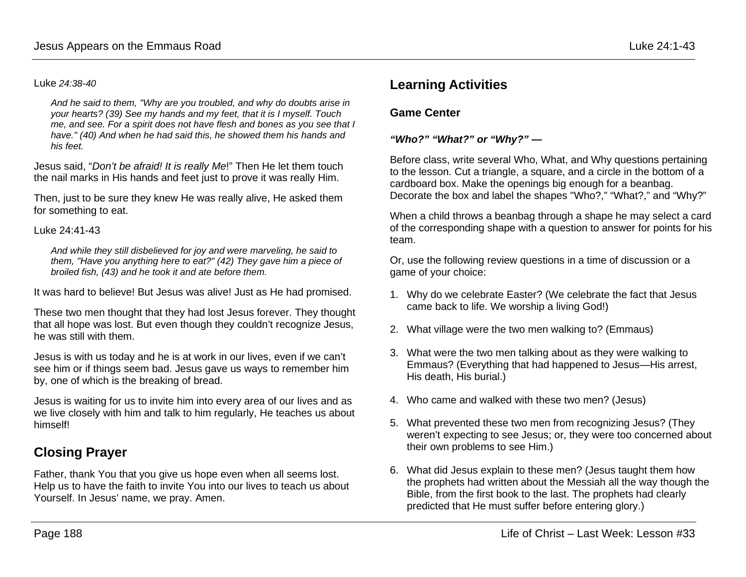#### Luke *24:38-40*

*And he said to them, "Why are you troubled, and why do doubts arise in your hearts? (39) See my hands and my feet, that it is I myself. Touch me, and see. For a spirit does not have flesh and bones as you see that I have." (40) And when he had said this, he showed them his hands and his feet.*

Jesus said, "*Don't be afraid! It is really Me*!" Then He let them touch the nail marks in His hands and feet just to prove it was really Him.

Then, just to be sure they knew He was really alive, He asked them for something to eat.

#### Luke 24:41-43

*And while they still disbelieved for joy and were marveling, he said to them, "Have you anything here to eat?" (42) They gave him a piece of broiled fish, (43) and he took it and ate before them.*

It was hard to believe! But Jesus was alive! Just as He had promised.

These two men thought that they had lost Jesus forever. They thought that all hope was lost. But even though they couldn't recognize Jesus, he was still with them.

Jesus is with us today and he is at work in our lives, even if we can't see him or if things seem bad. Jesus gave us ways to remember him by, one of which is the breaking of bread.

Jesus is waiting for us to invite him into every area of our lives and as we live closely with him and talk to him regularly, He teaches us about himself!

## **Closing Prayer**

Father, thank You that you give us hope even when all seems lost. Help us to have the faith to invite You into our lives to teach us about Yourself. In Jesus' name, we pray. Amen.

## **Learning Activities**

## **Game Center**

#### *"Who?" "What?" or "Why?" —*

Before class, write several Who, What, and Why questions pertaining to the lesson. Cut a triangle, a square, and a circle in the bottom of a cardboard box. Make the openings big enough for a beanbag. Decorate the box and label the shapes "Who?," "What?," and "Why?"

When a child throws a beanbag through a shape he may select a card of the corresponding shape with a question to answer for points for his team.

Or, use the following review questions in a time of discussion or a game of your choice:

- 1. Why do we celebrate Easter? (We celebrate the fact that Jesus came back to life. We worship a living God!)
- 2. What village were the two men walking to? (Emmaus)
- 3. What were the two men talking about as they were walking to Emmaus? (Everything that had happened to Jesus—His arrest, His death, His burial.)
- 4. Who came and walked with these two men? (Jesus)
- 5. What prevented these two men from recognizing Jesus? (They weren't expecting to see Jesus; or, they were too concerned about their own problems to see Him.)
- 6. What did Jesus explain to these men? (Jesus taught them how the prophets had written about the Messiah all the way though the Bible, from the first book to the last. The prophets had clearly predicted that He must suffer before entering glory.)